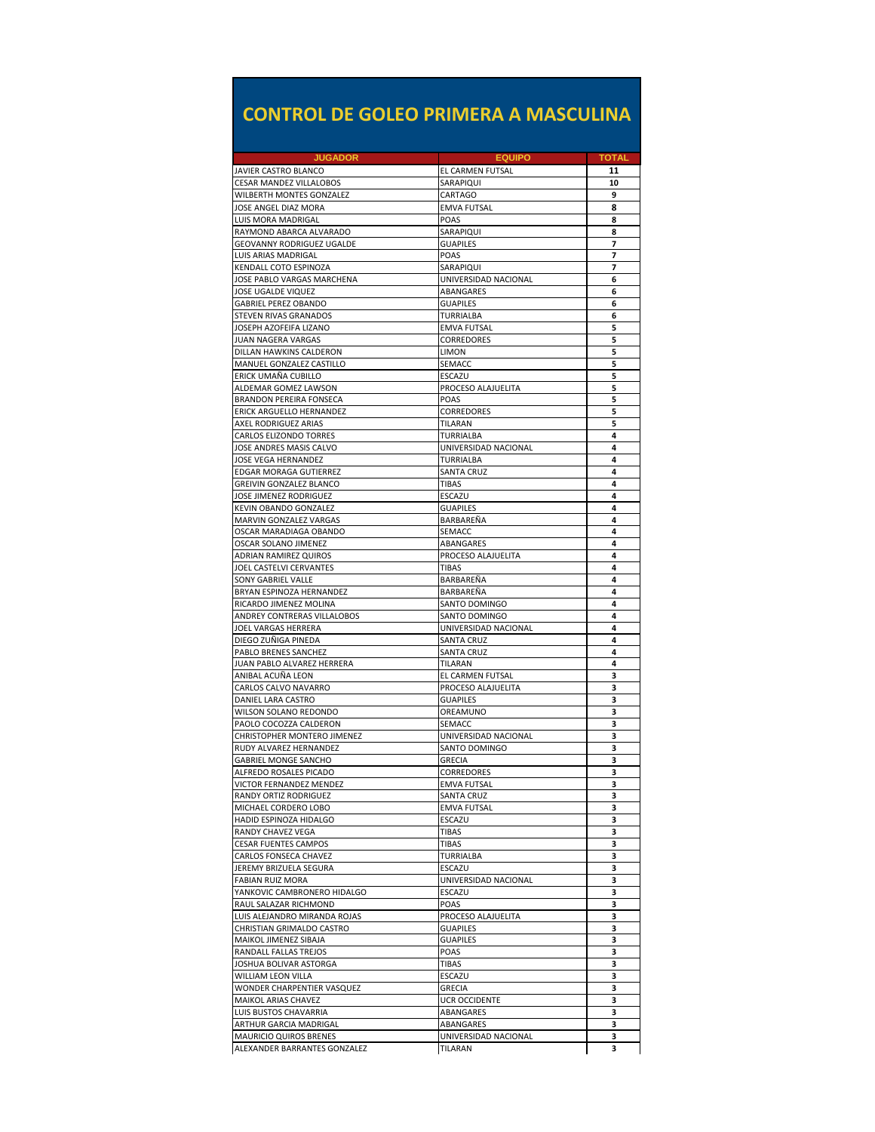## **CONTROL DE GOLEO PRIMERA A MASCULINA**

| <b>JUGADOR</b>                                             | <b>EQUIPO</b>                     | TOTAL    |
|------------------------------------------------------------|-----------------------------------|----------|
| JAVIER CASTRO BLANCO<br>CESAR MANDEZ VILLALOBOS            | EL CARMEN FUTSAL<br>SARAPIQUI     | 11<br>10 |
| WILBERTH MONTES GONZALEZ                                   | CARTAGO                           | 9        |
| JOSE ANGEL DIAZ MORA                                       | <b>EMVA FUTSAL</b>                | 8        |
| LUIS MORA MADRIGAL                                         | POAS                              | 8        |
| RAYMOND ABARCA ALVARADO                                    | SARAPIQUI                         | 8        |
| GEOVANNY RODRIGUEZ UGALDE                                  | <b>GUAPILES</b>                   | 7        |
| LUIS ARIAS MADRIGAL                                        | POAS                              | 7        |
| KENDALL COTO ESPINOZA                                      | SARAPIQUI                         | 7        |
| JOSE PABLO VARGAS MARCHENA<br>JOSE UGALDE VIQUEZ           | UNIVERSIDAD NACIONAL<br>ABANGARES | 6<br>6   |
| <b>GABRIEL PEREZ OBANDO</b>                                | <b>GUAPILES</b>                   | 6        |
| <b>STEVEN RIVAS GRANADOS</b>                               | TURRIALBA                         | 6        |
| JOSEPH AZOFEIFA LIZANO                                     | <b>EMVA FUTSAL</b>                | 5        |
| JUAN NAGERA VARGAS                                         | CORREDORES                        | 5        |
| DILLAN HAWKINS CALDERON                                    | <b>LIMON</b>                      | 5        |
| MANUEL GONZALEZ CASTILLO                                   | SEMACC                            | 5        |
| ERICK UMAÑA CUBILLO                                        | ESCAZU                            | 5        |
| ALDEMAR GOMEZ LAWSON                                       | PROCESO ALAJUELITA                | 5        |
| <b>BRANDON PEREIRA FONSECA</b><br>ERICK ARGUELLO HERNANDEZ | POAS<br>CORREDORES                | 5<br>5   |
| AXEL RODRIGUEZ ARIAS                                       | TILARAN                           | 5        |
| <b>CARLOS ELIZONDO TORRES</b>                              | TURRIALBA                         | 4        |
| JOSE ANDRES MASIS CALVO                                    | UNIVERSIDAD NACIONAL              | 4        |
| JOSE VEGA HERNANDEZ                                        | TURRIALBA                         | 4        |
| EDGAR MORAGA GUTIERREZ                                     | <b>SANTA CRUZ</b>                 | 4        |
| <b>GREIVIN GONZALEZ BLANCO</b>                             | TIBAS                             | 4        |
| JOSE JIMENEZ RODRIGUEZ                                     | ESCAZU                            | 4        |
| KEVIN OBANDO GONZALEZ                                      | <b>GUAPILES</b>                   | 4        |
| MARVIN GONZALEZ VARGAS<br>OSCAR MARADIAGA OBANDO           | BARBAREÑA<br>SEMACC               | 4<br>4   |
| OSCAR SOLANO JIMENEZ                                       | ABANGARES                         | 4        |
| <b>ADRIAN RAMIREZ QUIROS</b>                               | PROCESO ALAJUELITA                | 4        |
| JOEL CASTELVI CERVANTES                                    | <b>TIBAS</b>                      | 4        |
| SONY GABRIEL VALLE                                         | BARBAREÑA                         | 4        |
| BRYAN ESPINOZA HERNANDEZ                                   | BARBAREÑA                         | 4        |
| RICARDO JIMENEZ MOLINA                                     | SANTO DOMINGO                     | 4        |
| ANDREY CONTRERAS VILLALOBOS                                | SANTO DOMINGO                     | 4        |
| JOEL VARGAS HERRERA                                        | UNIVERSIDAD NACIONAL              | 4        |
| DIEGO ZUÑIGA PINEDA<br>PABLO BRENES SANCHEZ                | SANTA CRUZ<br><b>SANTA CRUZ</b>   | 4<br>4   |
| JUAN PABLO ALVAREZ HERRERA                                 | TILARAN                           | 4        |
| ANIBAL ACUÑA LEON                                          | EL CARMEN FUTSAL                  | 3        |
| CARLOS CALVO NAVARRO                                       | PROCESO ALAJUELITA                | 3        |
| DANIEL LARA CASTRO                                         | <b>GUAPILES</b>                   | 3        |
| WILSON SOLANO REDONDO                                      | OREAMUNO                          | 3        |
| PAOLO COCOZZA CALDERON                                     | SEMACC                            | 3        |
| CHRISTOPHER MONTERO JIMENEZ                                | UNIVERSIDAD NACIONAL              | 3        |
| RUDY ALVAREZ HERNANDEZ                                     | SANTO DOMINGO                     | 3        |
| <b>GABRIEL MONGE SANCHO</b><br>ALFREDO ROSALES PICADO      | <b>GRECIA</b><br>CORREDORES       | 3<br>3   |
| VICTOR FERNANDEZ MENDEZ                                    | EMVA FUTSAL                       | 5        |
| RANDY ORTIZ RODRIGUEZ                                      | <b>SANTA CRUZ</b>                 | 3        |
| MICHAEL CORDERO LOBO                                       | <b>EMVA FUTSAL</b>                | 3        |
| HADID ESPINOZA HIDALGO                                     | ESCAZU                            | з        |
| RANDY CHAVEZ VEGA                                          | TIBAS                             | з        |
| <b>CESAR FUENTES CAMPOS</b>                                | <b>TIBAS</b>                      | з        |
| CARLOS FONSECA CHAVEZ                                      | TURRIALBA                         | з        |
| JEREMY BRIZUELA SEGURA                                     | ESCAZU                            | з        |
| FABIAN RUIZ MORA<br>YANKOVIC CAMBRONERO HIDALGO            | UNIVERSIDAD NACIONAL<br>ESCAZU    | з<br>з   |
| RAUL SALAZAR RICHMOND                                      | POAS                              | з        |
| LUIS ALEJANDRO MIRANDA ROJAS                               | PROCESO ALAJUELITA                | з        |
| CHRISTIAN GRIMALDO CASTRO                                  | <b>GUAPILES</b>                   | з        |
| MAIKOL JIMENEZ SIBAJA                                      | <b>GUAPILES</b>                   | з        |
| RANDALL FALLAS TREJOS                                      | POAS                              | з        |
| JOSHUA BOLIVAR ASTORGA                                     | <b>TIBAS</b>                      | з        |
| <b>WILLIAM LEON VILLA</b>                                  | ESCAZU                            | з        |
| WONDER CHARPENTIER VASQUEZ                                 | <b>GRECIA</b>                     | з        |
| MAIKOL ARIAS CHAVEZ<br>LUIS BUSTOS CHAVARRIA               | UCR OCCIDENTE<br>ABANGARES        | з<br>з   |
| ARTHUR GARCIA MADRIGAL                                     | ABANGARES                         | з        |
| <b>MAURICIO QUIROS BRENES</b>                              | UNIVERSIDAD NACIONAL              | 3        |
| ALEXANDER BARRANTES GONZALEZ                               | TILARAN                           | 3        |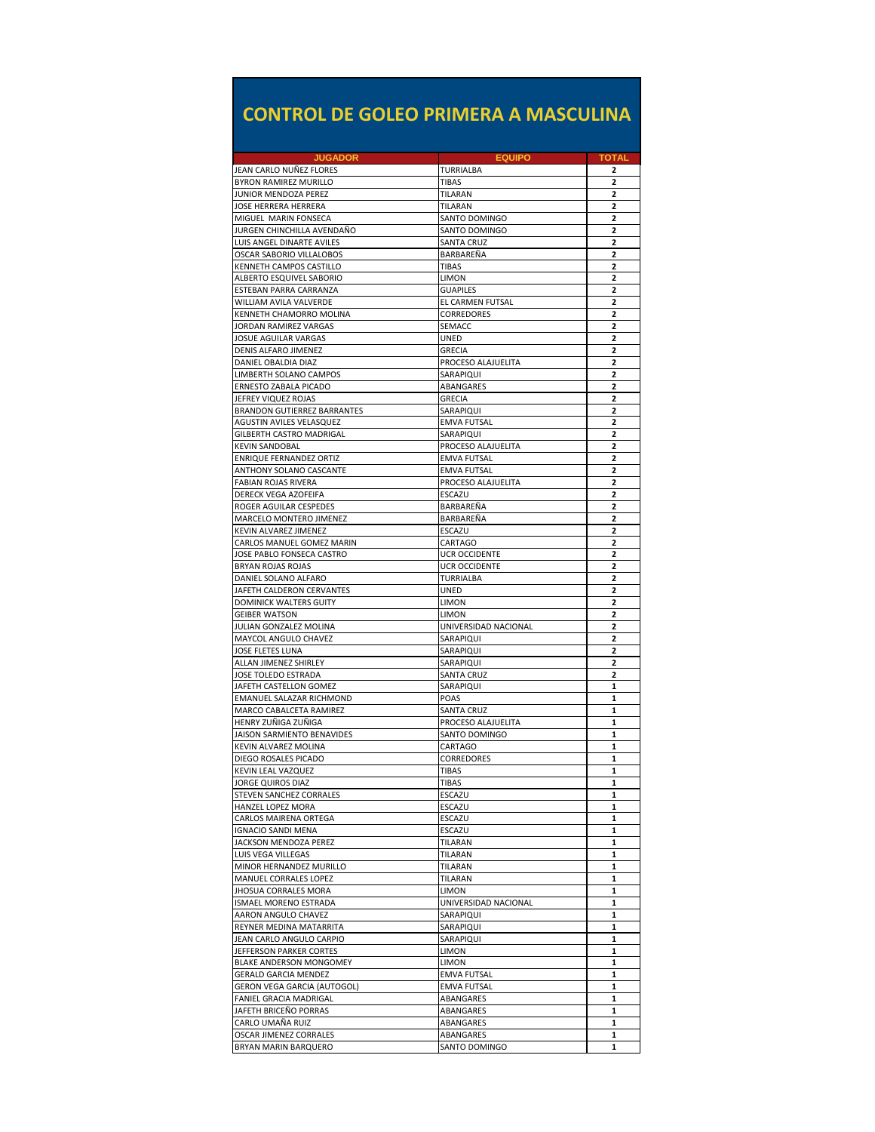## **CONTROL DE GOLEO PRIMERA A MASCULINA**

| <b>JUGADOR</b>                                                 | <b>EQUIPO</b>                         | TOTAL                            |
|----------------------------------------------------------------|---------------------------------------|----------------------------------|
| JEAN CARLO NUÑEZ FLORES<br><b>BYRON RAMIREZ MURILLO</b>        | TURRIALBA<br><b>TIBAS</b>             | 2<br>$\mathbf{2}$                |
| JUNIOR MENDOZA PEREZ                                           | TILARAN                               | $\mathbf{2}$                     |
| JOSE HERRERA HERRERA                                           | TILARAN                               | 2                                |
| MIGUEL MARIN FONSECA                                           | SANTO DOMINGO                         | 2                                |
| JURGEN CHINCHILLA AVENDAÑO                                     | SANTO DOMINGO                         | 2                                |
| LUIS ANGEL DINARTE AVILES                                      | <b>SANTA CRUZ</b>                     | $\mathbf{2}$                     |
| OSCAR SABORIO VILLALOBOS                                       | BARBAREÑA                             | 2                                |
| KENNETH CAMPOS CASTILLO                                        | TIBAS                                 | 2                                |
| ALBERTO ESQUIVEL SABORIO<br>ESTEBAN PARRA CARRANZA             | LIMON<br><b>GUAPILES</b>              | 2<br>2                           |
| WILLIAM AVILA VALVERDE                                         | EL CARMEN FUTSAL                      | $\overline{2}$                   |
| KENNETH CHAMORRO MOLINA                                        | CORREDORES                            | $\overline{2}$                   |
| JORDAN RAMIREZ VARGAS                                          | SEMACC                                | 2                                |
| JOSUE AGUILAR VARGAS                                           | UNED                                  | 2                                |
| DENIS ALFARO JIMENEZ                                           | GRECIA                                | 2                                |
| DANIEL OBALDIA DIAZ                                            | PROCESO ALAJUELITA                    | $\overline{2}$                   |
| LIMBERTH SOLANO CAMPOS                                         | SARAPIQUI                             | 2                                |
| ERNESTO ZABALA PICADO                                          | ABANGARES                             | 2                                |
| JEFREY VIQUEZ ROJAS                                            | GRECIA                                | $\overline{2}$                   |
| <b>BRANDON GUTIERREZ BARRANTES</b><br>AGUSTIN AVILES VELASQUEZ | SARAPIQUI<br><b>EMVA FUTSAL</b>       | 2<br>$\overline{2}$              |
| GILBERTH CASTRO MADRIGAL                                       | SARAPIQUI                             | $\overline{2}$                   |
| <b>KEVIN SANDOBAL</b>                                          | PROCESO ALAJUELITA                    | 2                                |
| <b>ENRIQUE FERNANDEZ ORTIZ</b>                                 | <b>EMVA FUTSAL</b>                    | $\overline{\phantom{a}}$         |
| ANTHONY SOLANO CASCANTE                                        | <b>EMVA FUTSAL</b>                    | 2                                |
| FABIAN ROJAS RIVERA                                            | PROCESO ALAJUELITA                    | $\overline{2}$                   |
| DERECK VEGA AZOFEIFA                                           | ESCAZU                                | 2                                |
| ROGER AGUILAR CESPEDES                                         | BARBAREÑA                             | 2                                |
| MARCELO MONTERO JIMENEZ                                        | BARBAREÑA                             | $\overline{2}$                   |
| KEVIN ALVAREZ JIMENEZ                                          | ESCAZU                                | 2                                |
| CARLOS MANUEL GOMEZ MARIN                                      | CARTAGO                               | $\overline{2}$<br>$\overline{2}$ |
| JOSE PABLO FONSECA CASTRO<br>BRYAN ROJAS ROJAS                 | <b>UCR OCCIDENTE</b><br>UCR OCCIDENTE | 2                                |
| DANIEL SOLANO ALFARO                                           | <b>TURRIALBA</b>                      | $\overline{\phantom{a}}$         |
| JAFETH CALDERON CERVANTES                                      | <b>UNED</b>                           | 2                                |
| DOMINICK WALTERS GUITY                                         | LIMON                                 | $\overline{2}$                   |
| <b>GEIBER WATSON</b>                                           | LIMON                                 | 2                                |
| JULIAN GONZALEZ MOLINA                                         | UNIVERSIDAD NACIONAL                  | 2                                |
| MAYCOL ANGULO CHAVEZ                                           | SARAPIQUI                             | $\overline{\phantom{a}}$         |
| JOSE FLETES LUNA                                               | SARAPIQUI                             | 2                                |
| ALLAN JIMENEZ SHIRLEY                                          | SARAPIQUI                             | $\overline{2}$                   |
| JOSE TOLEDO ESTRADA<br>JAFETH CASTELLON GOMEZ                  | SANTA CRUZ<br>SARAPIQUI               | $\overline{2}$<br>1              |
| EMANUEL SALAZAR RICHMOND                                       | POAS                                  | 1                                |
| MARCO CABALCETA RAMIREZ                                        | <b>SANTA CRUZ</b>                     | 1                                |
| HENRY ZUÑIGA ZUÑIGA                                            | PROCESO ALAJUELITA                    | 1                                |
| JAISON SARMIENTO BENAVIDES                                     | SANTO DOMINGO                         | 1                                |
| KEVIN ALVAREZ MOLINA                                           | CARTAGO                               | 1                                |
| DIEGO ROSALES PICADO                                           | CORREDORES                            | 1                                |
| <b>KEVIN LEAL VAZQUEZ</b>                                      | <b>TIBAS</b>                          | 1                                |
| <b>JORGE QUIROS DIAZ</b>                                       | <b>TIBAS</b>                          |                                  |
| STEVEN SANCHEZ CORRALES                                        | ESCAZU                                | 1<br>1                           |
| HANZEL LOPEZ MORA<br>CARLOS MAIRENA ORTEGA                     | ESCAZU<br>ESCAZU                      | 1                                |
| <b>IGNACIO SANDI MENA</b>                                      | ESCAZU                                | 1                                |
| JACKSON MENDOZA PEREZ                                          | TILARAN                               | 1                                |
| LUIS VEGA VILLEGAS                                             | TILARAN                               | 1                                |
| MINOR HERNANDEZ MURILLO                                        | TILARAN                               | 1                                |
| MANUEL CORRALES LOPEZ                                          | TILARAN                               | 1                                |
| <b>JHOSUA CORRALES MORA</b>                                    | <b>LIMON</b>                          | 1                                |
| ISMAEL MORENO ESTRADA                                          | UNIVERSIDAD NACIONAL                  | 1                                |
| AARON ANGULO CHAVEZ                                            | SARAPIQUI                             | 1                                |
| REYNER MEDINA MATARRITA<br>JEAN CARLO ANGULO CARPIO            | SARAPIQUI<br>SARAPIQUI                | 1<br>1                           |
| JEFFERSON PARKER CORTES                                        | LIMON                                 | 1                                |
| BLAKE ANDERSON MONGOMEY                                        | LIMON                                 | 1                                |
| <b>GERALD GARCIA MENDEZ</b>                                    | <b>EMVA FUTSAL</b>                    | 1                                |
| <b>GERON VEGA GARCIA (AUTOGOL)</b>                             | <b>EMVA FUTSAL</b>                    | 1                                |
| FANIEL GRACIA MADRIGAL                                         | ABANGARES                             | 1                                |
| JAFETH BRICEÑO PORRAS                                          | ABANGARES                             | 1                                |
| CARLO UMAÑA RUIZ                                               | ABANGARES                             | 1                                |
| OSCAR JIMENEZ CORRALES                                         | ABANGARES                             | 1                                |
| BRYAN MARIN BARQUERO                                           | SANTO DOMINGO                         | 1                                |